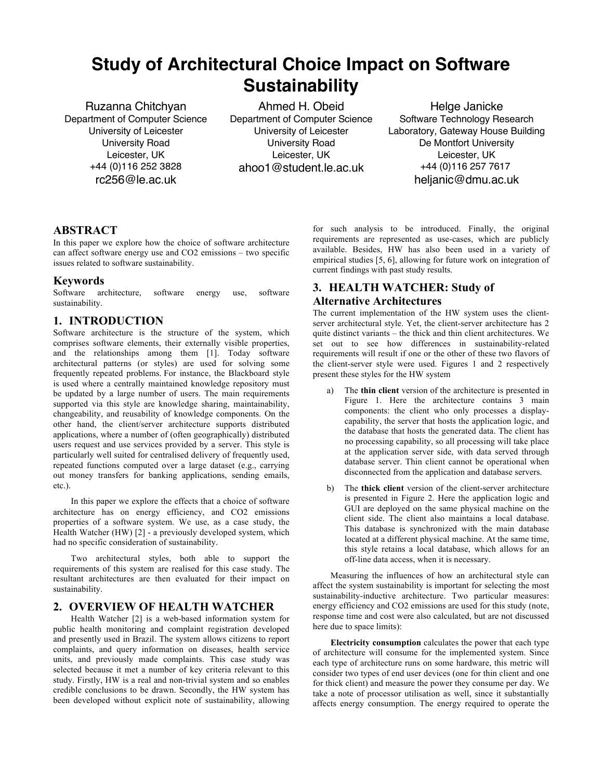# **Study of Architectural Choice Impact on Software Sustainability**

Ruzanna Chitchyan Department of Computer Science University of Leicester University Road Leicester, UK +44 (0)116 252 3828 rc256@le.ac.uk

Ahmed H. Obeid Department of Computer Science University of Leicester University Road Leicester, UK ahoo1@student.le.ac.uk

Helge Janicke Software Technology Research Laboratory, Gateway House Building De Montfort University Leicester, UK +44 (0)116 257 7617 heljanic@dmu.ac.uk

## **ABSTRACT**

In this paper we explore how the choice of software architecture can affect software energy use and CO2 emissions – two specific issues related to software sustainability.

### **Keywords**

Software architecture, software energy use, software sustainability.

# **1. INTRODUCTION**

Software architecture is the structure of the system, which comprises software elements, their externally visible properties, and the relationships among them [1]. Today software architectural patterns (or styles) are used for solving some frequently repeated problems. For instance, the Blackboard style is used where a centrally maintained knowledge repository must be updated by a large number of users. The main requirements supported via this style are knowledge sharing, maintainability, changeability, and reusability of knowledge components. On the other hand, the client/server architecture supports distributed applications, where a number of (often geographically) distributed users request and use services provided by a server. This style is particularly well suited for centralised delivery of frequently used, repeated functions computed over a large dataset (e.g., carrying out money transfers for banking applications, sending emails, etc.).

In this paper we explore the effects that a choice of software architecture has on energy efficiency, and CO2 emissions properties of a software system. We use, as a case study, the Health Watcher (HW) [2] - a previously developed system, which had no specific consideration of sustainability.

Two architectural styles, both able to support the requirements of this system are realised for this case study. The resultant architectures are then evaluated for their impact on sustainability.

### **2. OVERVIEW OF HEALTH WATCHER**

Health Watcher [2] is a web-based information system for public health monitoring and complaint registration developed and presently used in Brazil. The system allows citizens to report complaints, and query information on diseases, health service units, and previously made complaints. This case study was selected because it met a number of key criteria relevant to this study. Firstly, HW is a real and non-trivial system and so enables credible conclusions to be drawn. Secondly, the HW system has been developed without explicit note of sustainability, allowing

for such analysis to be introduced. Finally, the original requirements are represented as use-cases, which are publicly available. Besides, HW has also been used in a variety of empirical studies [5, 6], allowing for future work on integration of current findings with past study results.

# **3. HEALTH WATCHER: Study of Alternative Architectures**

The current implementation of the HW system uses the clientserver architectural style. Yet, the client-server architecture has 2 quite distinct variants – the thick and thin client architectures. We set out to see how differences in sustainability-related requirements will result if one or the other of these two flavors of the client-server style were used. Figures 1 and 2 respectively present these styles for the HW system

- a) The **thin client** version of the architecture is presented in Figure 1. Here the architecture contains 3 main components: the client who only processes a displaycapability, the server that hosts the application logic, and the database that hosts the generated data. The client has no processing capability, so all processing will take place at the application server side, with data served through database server. Thin client cannot be operational when disconnected from the application and database servers.
- b) The **thick client** version of the client-server architecture is presented in Figure 2. Here the application logic and GUI are deployed on the same physical machine on the client side. The client also maintains a local database. This database is synchronized with the main database located at a different physical machine. At the same time, this style retains a local database, which allows for an off-line data access, when it is necessary.

Measuring the influences of how an architectural style can affect the system sustainability is important for selecting the most sustainability-inductive architecture. Two particular measures: energy efficiency and CO2 emissions are used for this study (note, response time and cost were also calculated, but are not discussed here due to space limits):

**Electricity consumption** calculates the power that each type of architecture will consume for the implemented system. Since each type of architecture runs on some hardware, this metric will consider two types of end user devices (one for thin client and one for thick client) and measure the power they consume per day. We take a note of processor utilisation as well, since it substantially affects energy consumption. The energy required to operate the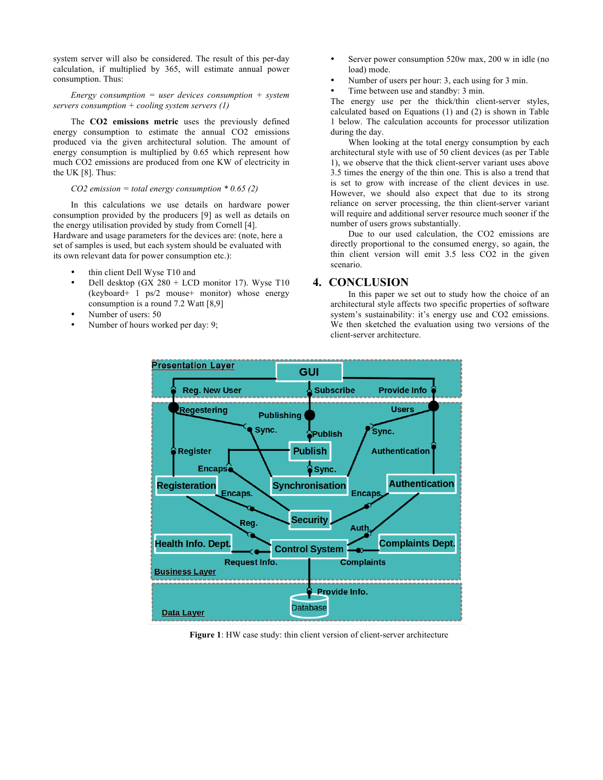system server will also be considered. The result of this per-day calculation, if multiplied by 365, will estimate annual power consumption. Thus:

*Energy consumption = user devices consumption + system servers consumption + cooling system servers (1)*

The **CO2 emissions metric** uses the previously defined energy consumption to estimate the annual CO2 emissions produced via the given architectural solution. The amount of energy consumption is multiplied by 0.65 which represent how much CO2 emissions are produced from one KW of electricity in the UK [8]. Thus:

#### *CO2 emission = total energy consumption \* 0.65 (2)*

In this calculations we use details on hardware power consumption provided by the producers [9] as well as details on the energy utilisation provided by study from Cornell [4]. Hardware and usage parameters for the devices are: (note, here a set of samples is used, but each system should be evaluated with its own relevant data for power consumption etc.):

- thin client Dell Wyse T10 and
- Dell desktop (GX 280 + LCD monitor 17). Wyse  $T10$ (keyboard+ 1 ps/2 mouse+ monitor) whose energy consumption is a round 7.2 Watt [8,9]
- Number of users: 50
- Number of hours worked per day: 9;
- Server power consumption 520w max, 200 w in idle (no load) mode.
- Number of users per hour: 3, each using for 3 min.
- Time between use and standby: 3 min.

The energy use per the thick/thin client-server styles, calculated based on Equations (1) and (2) is shown in Table 1 below. The calculation accounts for processor utilization during the day.

When looking at the total energy consumption by each architectural style with use of 50 client devices (as per Table 1), we observe that the thick client-server variant uses above 3.5 times the energy of the thin one. This is also a trend that is set to grow with increase of the client devices in use. However, we should also expect that due to its strong reliance on server processing, the thin client-server variant will require and additional server resource much sooner if the number of users grows substantially.

Due to our used calculation, the CO2 emissions are directly proportional to the consumed energy, so again, the thin client version will emit 3.5 less CO2 in the given scenario.

### **4. CONCLUSION**

In this paper we set out to study how the choice of an architectural style affects two specific properties of software system's sustainability: it's energy use and CO2 emissions. We then sketched the evaluation using two versions of the client-server architecture.



**Figure 1**: HW case study: thin client version of client-server architecture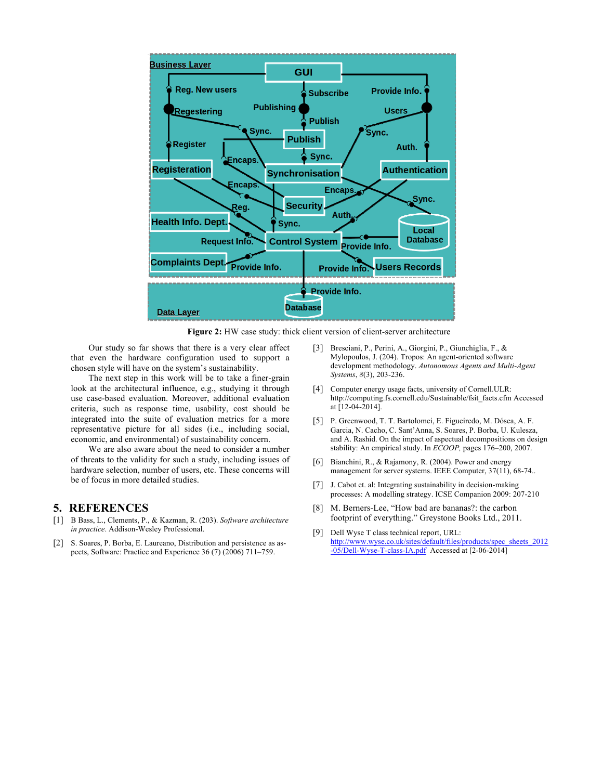

**Figure 2:** HW case study: thick client version of client-server architecture

Our study so far shows that there is a very clear affect that even the hardware configuration used to support a chosen style will have on the system's sustainability.

The next step in this work will be to take a finer-grain look at the architectural influence, e.g., studying it through use case-based evaluation. Moreover, additional evaluation criteria, such as response time, usability, cost should be integrated into the suite of evaluation metrics for a more representative picture for all sides (i.e., including social, economic, and environmental) of sustainability concern.

We are also aware about the need to consider a number of threats to the validity for such a study, including issues of hardware selection, number of users, etc. These concerns will be of focus in more detailed studies.

#### **5. REFERENCES**

- [1] B Bass, L., Clements, P., & Kazman, R. (203). *Software architecture in practice*. Addison-Wesley Professional.
- [2] S. Soares, P. Borba, E. Laureano, Distribution and persistence as aspects, Software: Practice and Experience 36 (7) (2006) 711–759.
- [3] Bresciani, P., Perini, A., Giorgini, P., Giunchiglia, F., & Mylopoulos, J. (204). Tropos: An agent-oriented software development methodology. *Autonomous Agents and Multi-Agent Systems*, *8*(3), 203-236.
- [4] Computer energy usage facts, university of Cornell.ULR: http://computing.fs.cornell.edu/Sustainable/fsit\_facts.cfm Accessed at [12-04-2014].
- [5] P. Greenwood, T. T. Bartolomei, E. Figueiredo, M. Dósea, A. F. Garcia, N. Cacho, C. Sant'Anna, S. Soares, P. Borba, U. Kulesza, and A. Rashid. On the impact of aspectual decompositions on design stability: An empirical study. In *ECOOP,* pages 176–200, 2007.
- [6] Bianchini, R., & Rajamony, R. (2004). Power and energy management for server systems. IEEE Computer, 37(11), 68-74..
- [7] J. Cabot et. al: Integrating sustainability in decision-making processes: A modelling strategy. ICSE Companion 2009: 207-210
- [8] M. Berners-Lee, "How bad are bananas?: the carbon footprint of everything." Greystone Books Ltd., 2011.
- [9] Dell Wyse T class technical report, URL: http://www.wyse.co.uk/sites/default/files/products/spec\_sheets\_2012 -05/Dell-Wyse-T-class-IA.pdf Accessed at [2-06-2014]